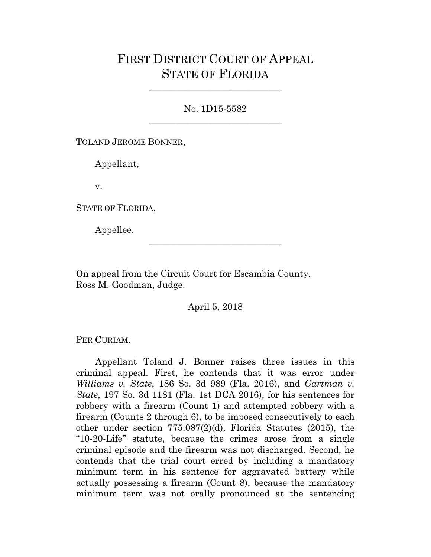## FIRST DISTRICT COURT OF APPEAL STATE OF FLORIDA

No. 1D15-5582 \_\_\_\_\_\_\_\_\_\_\_\_\_\_\_\_\_\_\_\_\_\_\_\_\_\_\_\_\_

\_\_\_\_\_\_\_\_\_\_\_\_\_\_\_\_\_\_\_\_\_\_\_\_\_\_\_\_\_

TOLAND JEROME BONNER,

Appellant,

v.

STATE OF FLORIDA,

Appellee.

On appeal from the Circuit Court for Escambia County. Ross M. Goodman, Judge.

April 5, 2018

\_\_\_\_\_\_\_\_\_\_\_\_\_\_\_\_\_\_\_\_\_\_\_\_\_\_\_\_\_

PER CURIAM.

Appellant Toland J. Bonner raises three issues in this criminal appeal. First, he contends that it was error under *Williams v. State*, 186 So. 3d 989 (Fla. 2016), and *Gartman v. State*, 197 So. 3d 1181 (Fla. 1st DCA 2016), for his sentences for robbery with a firearm (Count 1) and attempted robbery with a firearm (Counts 2 through 6), to be imposed consecutively to each other under section 775.087(2)(d), Florida Statutes (2015), the "10-20-Life" statute, because the crimes arose from a single criminal episode and the firearm was not discharged. Second, he contends that the trial court erred by including a mandatory minimum term in his sentence for aggravated battery while actually possessing a firearm (Count 8), because the mandatory minimum term was not orally pronounced at the sentencing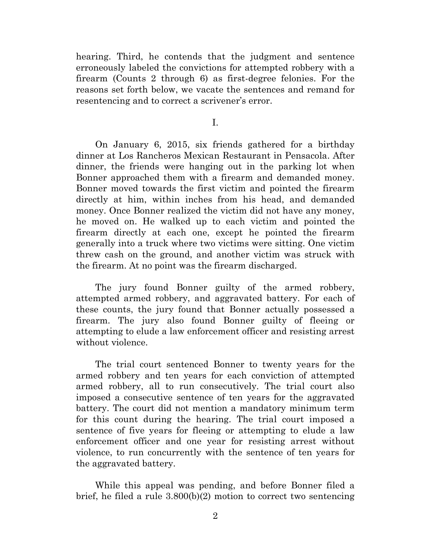hearing. Third, he contends that the judgment and sentence erroneously labeled the convictions for attempted robbery with a firearm (Counts 2 through 6) as first-degree felonies. For the reasons set forth below, we vacate the sentences and remand for resentencing and to correct a scrivener's error.

I.

On January 6, 2015, six friends gathered for a birthday dinner at Los Rancheros Mexican Restaurant in Pensacola. After dinner, the friends were hanging out in the parking lot when Bonner approached them with a firearm and demanded money. Bonner moved towards the first victim and pointed the firearm directly at him, within inches from his head, and demanded money. Once Bonner realized the victim did not have any money, he moved on. He walked up to each victim and pointed the firearm directly at each one, except he pointed the firearm generally into a truck where two victims were sitting. One victim threw cash on the ground, and another victim was struck with the firearm. At no point was the firearm discharged.

The jury found Bonner guilty of the armed robbery, attempted armed robbery, and aggravated battery. For each of these counts, the jury found that Bonner actually possessed a firearm. The jury also found Bonner guilty of fleeing or attempting to elude a law enforcement officer and resisting arrest without violence.

The trial court sentenced Bonner to twenty years for the armed robbery and ten years for each conviction of attempted armed robbery, all to run consecutively. The trial court also imposed a consecutive sentence of ten years for the aggravated battery. The court did not mention a mandatory minimum term for this count during the hearing. The trial court imposed a sentence of five years for fleeing or attempting to elude a law enforcement officer and one year for resisting arrest without violence, to run concurrently with the sentence of ten years for the aggravated battery.

While this appeal was pending, and before Bonner filed a brief, he filed a rule 3.800(b)(2) motion to correct two sentencing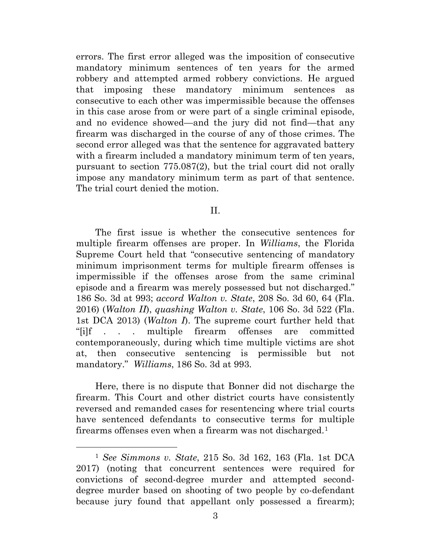errors. The first error alleged was the imposition of consecutive mandatory minimum sentences of ten years for the armed robbery and attempted armed robbery convictions. He argued that imposing these mandatory minimum sentences as consecutive to each other was impermissible because the offenses in this case arose from or were part of a single criminal episode, and no evidence showed—and the jury did not find—that any firearm was discharged in the course of any of those crimes. The second error alleged was that the sentence for aggravated battery with a firearm included a mandatory minimum term of ten years, pursuant to section 775.087(2), but the trial court did not orally impose any mandatory minimum term as part of that sentence. The trial court denied the motion.

## II.

The first issue is whether the consecutive sentences for multiple firearm offenses are proper. In *Williams*, the Florida Supreme Court held that "consecutive sentencing of mandatory minimum imprisonment terms for multiple firearm offenses is impermissible if the offenses arose from the same criminal episode and a firearm was merely possessed but not discharged." 186 So. 3d at 993; *accord Walton v. State*, 208 So. 3d 60, 64 (Fla. 2016) (*Walton II*), *quashing Walton v. State*, 106 So. 3d 522 (Fla. 1st DCA 2013) (*Walton I*). The supreme court further held that "[i]f . . . multiple firearm offenses are committed contemporaneously, during which time multiple victims are shot at, then consecutive sentencing is permissible but not mandatory." *Williams*, 186 So. 3d at 993.

Here, there is no dispute that Bonner did not discharge the firearm. This Court and other district courts have consistently reversed and remanded cases for resentencing where trial courts have sentenced defendants to consecutive terms for multiple firearms offenses even when a firearm was not discharged.[1](#page-2-0)

ī

<span id="page-2-0"></span><sup>1</sup> *See Simmons v. State*, 215 So. 3d 162, 163 (Fla. 1st DCA 2017) (noting that concurrent sentences were required for convictions of second-degree murder and attempted seconddegree murder based on shooting of two people by co-defendant because jury found that appellant only possessed a firearm);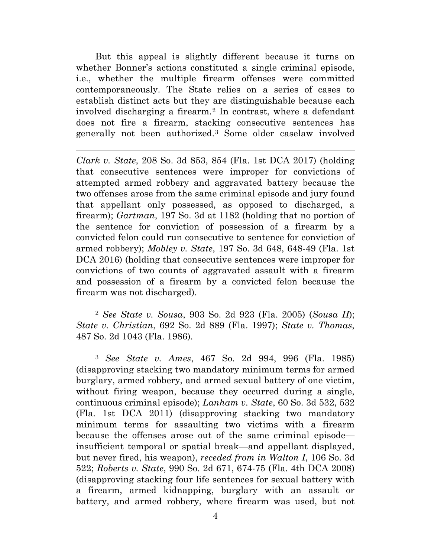But this appeal is slightly different because it turns on whether Bonner's actions constituted a single criminal episode, i.e., whether the multiple firearm offenses were committed contemporaneously. The State relies on a series of cases to establish distinct acts but they are distinguishable because each involved discharging a firearm.<sup>[2](#page-3-0)</sup> In contrast, where a defendant does not fire a firearm, stacking consecutive sentences has generally not been authorized.[3](#page-3-1) Some older caselaw involved

Ĩ. *Clark v. State*, 208 So. 3d 853, 854 (Fla. 1st DCA 2017) (holding that consecutive sentences were improper for convictions of attempted armed robbery and aggravated battery because the two offenses arose from the same criminal episode and jury found that appellant only possessed, as opposed to discharged, a firearm); *Gartman*, 197 So. 3d at 1182 (holding that no portion of the sentence for conviction of possession of a firearm by a convicted felon could run consecutive to sentence for conviction of armed robbery); *Mobley v. State*, 197 So. 3d 648, 648-49 (Fla. 1st DCA 2016) (holding that consecutive sentences were improper for convictions of two counts of aggravated assault with a firearm and possession of a firearm by a convicted felon because the firearm was not discharged).

<span id="page-3-0"></span><sup>2</sup> *See State v. Sousa*, 903 So. 2d 923 (Fla. 2005) (*Sousa II*); *State v. Christian*, 692 So. 2d 889 (Fla. 1997); *State v. Thomas*, 487 So. 2d 1043 (Fla. 1986).

<span id="page-3-1"></span><sup>3</sup> *See State v. Ames*, 467 So. 2d 994, 996 (Fla. 1985) (disapproving stacking two mandatory minimum terms for armed burglary, armed robbery, and armed sexual battery of one victim, without firing weapon, because they occurred during a single, continuous criminal episode); *Lanham v. State*, 60 So. 3d 532, 532 (Fla. 1st DCA 2011) (disapproving stacking two mandatory minimum terms for assaulting two victims with a firearm because the offenses arose out of the same criminal episode insufficient temporal or spatial break—and appellant displayed, but never fired, his weapon), *receded from in Walton I*, 106 So. 3d 522; *Roberts v. State*, 990 So. 2d 671, 674-75 (Fla. 4th DCA 2008) (disapproving stacking four life sentences for sexual battery with a firearm, armed kidnapping, burglary with an assault or battery, and armed robbery, where firearm was used, but not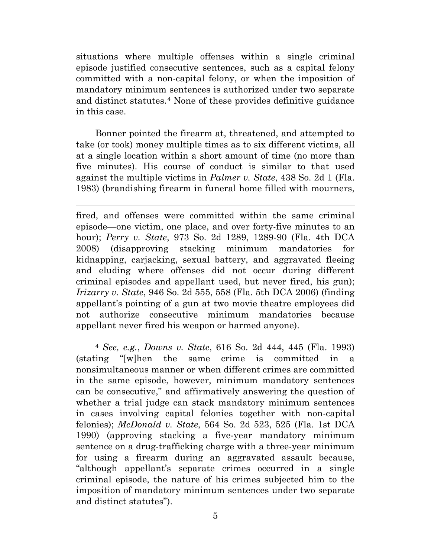situations where multiple offenses within a single criminal episode justified consecutive sentences, such as a capital felony committed with a non-capital felony, or when the imposition of mandatory minimum sentences is authorized under two separate and distinct statutes.[4](#page-4-0) None of these provides definitive guidance in this case.

Bonner pointed the firearm at, threatened, and attempted to take (or took) money multiple times as to six different victims, all at a single location within a short amount of time (no more than five minutes). His course of conduct is similar to that used against the multiple victims in *Palmer v. State*, 438 So. 2d 1 (Fla. 1983) (brandishing firearm in funeral home filled with mourners,

Ĩ. fired, and offenses were committed within the same criminal episode—one victim, one place, and over forty-five minutes to an hour); *Perry v. State*, 973 So. 2d 1289, 1289-90 (Fla. 4th DCA 2008) (disapproving stacking minimum mandatories for kidnapping, carjacking, sexual battery, and aggravated fleeing and eluding where offenses did not occur during different criminal episodes and appellant used, but never fired, his gun); *Irizarry v. State*, 946 So. 2d 555, 558 (Fla. 5th DCA 2006) (finding appellant's pointing of a gun at two movie theatre employees did not authorize consecutive minimum mandatories because appellant never fired his weapon or harmed anyone).

<span id="page-4-0"></span><sup>4</sup> *See, e.g.*, *Downs v. State*, 616 So. 2d 444, 445 (Fla. 1993) (stating "[w]hen the same crime is committed in a nonsimultaneous manner or when different crimes are committed in the same episode, however, minimum mandatory sentences can be consecutive," and affirmatively answering the question of whether a trial judge can stack mandatory minimum sentences in cases involving capital felonies together with non-capital felonies); *McDonald v. State*, 564 So. 2d 523, 525 (Fla. 1st DCA 1990) (approving stacking a five-year mandatory minimum sentence on a drug-trafficking charge with a three-year minimum for using a firearm during an aggravated assault because, "although appellant's separate crimes occurred in a single criminal episode, the nature of his crimes subjected him to the imposition of mandatory minimum sentences under two separate and distinct statutes").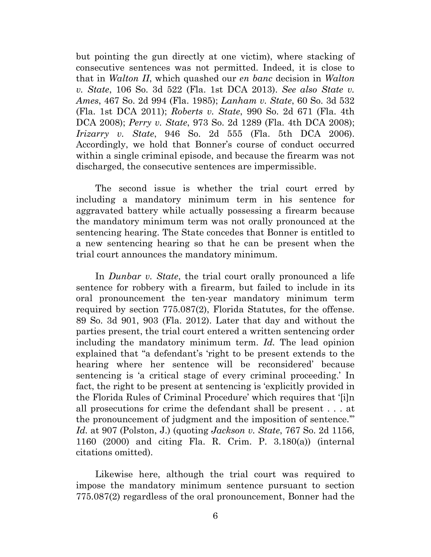but pointing the gun directly at one victim), where stacking of consecutive sentences was not permitted. Indeed, it is close to that in *Walton II*, which quashed our *en banc* decision in *Walton v. State*, 106 So. 3d 522 (Fla. 1st DCA 2013). *See also State v. Ames*, 467 So. 2d 994 (Fla. 1985); *Lanham v. State*, 60 So. 3d 532 (Fla. 1st DCA 2011); *Roberts v. State*, 990 So. 2d 671 (Fla. 4th DCA 2008); *Perry v. State*, 973 So. 2d 1289 (Fla. 4th DCA 2008); *Irizarry v. State*, 946 So. 2d 555 (Fla. 5th DCA 2006). Accordingly, we hold that Bonner's course of conduct occurred within a single criminal episode, and because the firearm was not discharged, the consecutive sentences are impermissible.

The second issue is whether the trial court erred by including a mandatory minimum term in his sentence for aggravated battery while actually possessing a firearm because the mandatory minimum term was not orally pronounced at the sentencing hearing. The State concedes that Bonner is entitled to a new sentencing hearing so that he can be present when the trial court announces the mandatory minimum.

In *Dunbar v. State*, the trial court orally pronounced a life sentence for robbery with a firearm, but failed to include in its oral pronouncement the ten-year mandatory minimum term required by section 775.087(2), Florida Statutes, for the offense. 89 So. 3d 901, 903 (Fla. 2012). Later that day and without the parties present, the trial court entered a written sentencing order including the mandatory minimum term. *Id.* The lead opinion explained that "a defendant's 'right to be present extends to the hearing where her sentence will be reconsidered' because sentencing is 'a critical stage of every criminal proceeding.' In fact, the right to be present at sentencing is 'explicitly provided in the Florida Rules of Criminal Procedure' which requires that '[i]n all prosecutions for crime the defendant shall be present . . . at the pronouncement of judgment and the imposition of sentence.'" *Id.* at 907 (Polston, J.) (quoting *Jackson v. State*, 767 So. 2d 1156, 1160 (2000) and citing Fla. R. Crim. P. 3.180(a)) (internal citations omitted).

Likewise here, although the trial court was required to impose the mandatory minimum sentence pursuant to section 775.087(2) regardless of the oral pronouncement, Bonner had the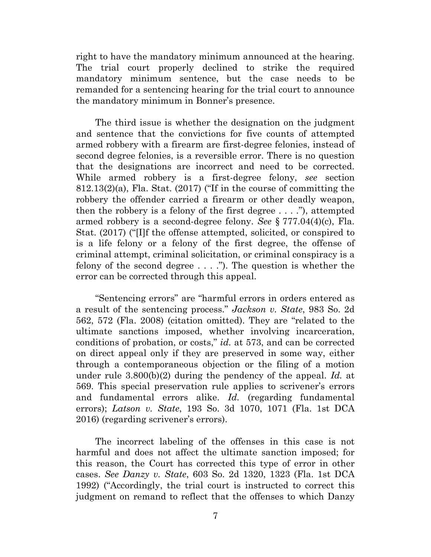right to have the mandatory minimum announced at the hearing. The trial court properly declined to strike the required mandatory minimum sentence, but the case needs to be remanded for a sentencing hearing for the trial court to announce the mandatory minimum in Bonner's presence.

The third issue is whether the designation on the judgment and sentence that the convictions for five counts of attempted armed robbery with a firearm are first-degree felonies, instead of second degree felonies, is a reversible error. There is no question that the designations are incorrect and need to be corrected. While armed robbery is a first-degree felony, *see* section 812.13(2)(a), Fla. Stat. (2017) ("If in the course of committing the robbery the offender carried a firearm or other deadly weapon, then the robbery is a felony of the first degree  $\dots$ .  $\dddot{\,}$ , attempted armed robbery is a second-degree felony. *See* § 777.04(4)(c), Fla. Stat. (2017) ("[I]f the offense attempted, solicited, or conspired to is a life felony or a felony of the first degree, the offense of criminal attempt, criminal solicitation, or criminal conspiracy is a felony of the second degree  $\dots$ ."). The question is whether the error can be corrected through this appeal.

"Sentencing errors" are "harmful errors in orders entered as a result of the sentencing process." *Jackson v. State*, 983 So. 2d 562, 572 (Fla. 2008) (citation omitted). They are "related to the ultimate sanctions imposed, whether involving incarceration, conditions of probation, or costs," *id.* at 573, and can be corrected on direct appeal only if they are preserved in some way, either through a contemporaneous objection or the filing of a motion under rule 3.800(b)(2) during the pendency of the appeal. *Id.* at 569. This special preservation rule applies to scrivener's errors and fundamental errors alike. *Id.* (regarding fundamental errors); *Latson v. State*, 193 So. 3d 1070, 1071 (Fla. 1st DCA 2016) (regarding scrivener's errors).

The incorrect labeling of the offenses in this case is not harmful and does not affect the ultimate sanction imposed; for this reason, the Court has corrected this type of error in other cases. *See Danzy v. State*, 603 So. 2d 1320, 1323 (Fla. 1st DCA 1992) ("Accordingly, the trial court is instructed to correct this judgment on remand to reflect that the offenses to which Danzy